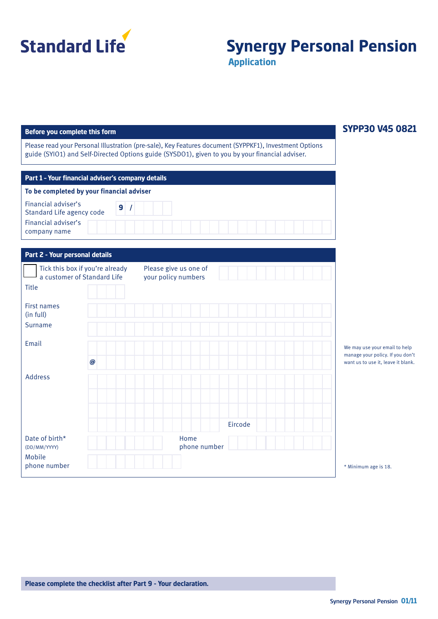

# **Synergy Personal Pension**

**Application**

#### **Before you complete this form**

Please read your Personal Illustration (pre-sale), Key Features document (SYPPKF1), Investment Options guide (SYIO1) and Self-Directed Options guide (SYSDO1), given to you by your financial adviser.

| Part 1 - Your financial adviser's company details |              |  |  |
|---------------------------------------------------|--------------|--|--|
| To be completed by your financial adviser         |              |  |  |
| Financial adviser's<br>Standard Life agency code  | $\mathbf{9}$ |  |  |
| Financial adviser's<br>company name               |              |  |  |

| Part 2 - Your personal details                                 |                                              |                                                                   |
|----------------------------------------------------------------|----------------------------------------------|-------------------------------------------------------------------|
| Tick this box if you're already<br>a customer of Standard Life | Please give us one of<br>your policy numbers |                                                                   |
| Title                                                          |                                              |                                                                   |
| <b>First names</b><br>(in full)                                |                                              |                                                                   |
| Surname                                                        |                                              |                                                                   |
| Email                                                          |                                              | We may use your email to help<br>manage your policy. If you don't |
| $\boldsymbol{\varpi}$                                          |                                              | want us to use it, leave it blank.                                |
| Address                                                        |                                              |                                                                   |
|                                                                |                                              |                                                                   |
|                                                                | Eircode                                      |                                                                   |
| Date of birth*<br>(DD/MM/YYYY)                                 | Home<br>phone number                         |                                                                   |
| Mobile<br>phone number                                         |                                              | * Minimum age is 18.                                              |

### **SYPP30 V45 0821**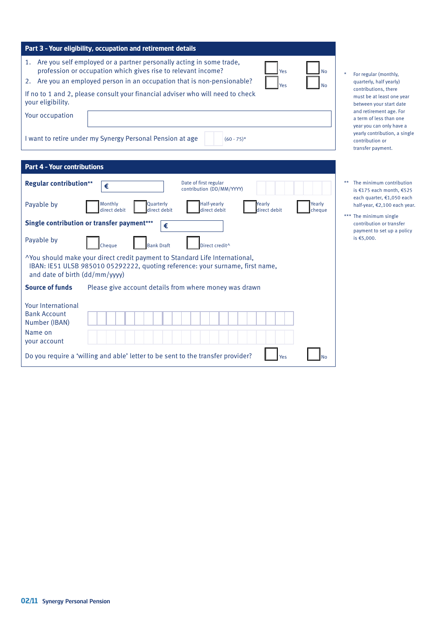| Part 3 - Your eligibility, occupation and retirement details                                                                                                                                                                                                                                                                                                         |                                                                                                                                             |  |  |  |
|----------------------------------------------------------------------------------------------------------------------------------------------------------------------------------------------------------------------------------------------------------------------------------------------------------------------------------------------------------------------|---------------------------------------------------------------------------------------------------------------------------------------------|--|--|--|
| 1. Are you self employed or a partner personally acting in some trade,<br>profession or occupation which gives rise to relevant income?<br>Yes<br><b>No</b><br>Are you an employed person in an occupation that is non-pensionable?<br>2.<br>Yes<br><b>No</b><br>If no to 1 and 2, please consult your financial adviser who will need to check<br>your eligibility. | $\star$<br>For regular (monthly,<br>quarterly, half yearly)<br>contributions, there<br>must be at least one year<br>between your start date |  |  |  |
| and retirement age. For<br>Your occupation<br>a term of less than one<br>year you can only have a<br>yearly contribution, a single<br>I want to retire under my Synergy Personal Pension at age<br>$(60 - 75)*$<br>contribution or<br>transfer payment.                                                                                                              |                                                                                                                                             |  |  |  |
| <b>Part 4 - Your contributions</b>                                                                                                                                                                                                                                                                                                                                   |                                                                                                                                             |  |  |  |
| Date of first regular<br><b>Regular contribution**</b><br>€<br>contribution (DD/MM/YYYY)<br>Half-yearly<br>Payable by<br>Monthly<br>Quarterly<br>Yearly<br>Yearly<br>direct debit<br>direct debit<br>direct debit                                                                                                                                                    | The minimum contribution<br>$**$<br>is €175 each month, €525<br>each quarter, €1,050 each<br>half-year, €2,100 each year.                   |  |  |  |
| direct debit<br>cheque<br>Single contribution or transfer payment***<br>€<br>Payable by                                                                                                                                                                                                                                                                              | *** The minimum single<br>contribution or transfer<br>payment to set up a policy<br>is €5,000.                                              |  |  |  |
| Cheaue<br><b>Bank Draft</b><br>Direct credit <sup>^</sup>                                                                                                                                                                                                                                                                                                            |                                                                                                                                             |  |  |  |
| ^You should make your direct credit payment to Standard Life International,<br>IBAN: IE51 ULSB 985010 05292222, quoting reference: your surname, first name,<br>and date of birth (dd/mm/yyyy)                                                                                                                                                                       |                                                                                                                                             |  |  |  |
| <b>Source of funds</b><br>Please give account details from where money was drawn                                                                                                                                                                                                                                                                                     |                                                                                                                                             |  |  |  |
| Your International<br><b>Bank Account</b><br>Number (IBAN)<br>Name on<br>your account                                                                                                                                                                                                                                                                                |                                                                                                                                             |  |  |  |
| Do you require a 'willing and able' letter to be sent to the transfer provider?<br>Yes<br>No                                                                                                                                                                                                                                                                         |                                                                                                                                             |  |  |  |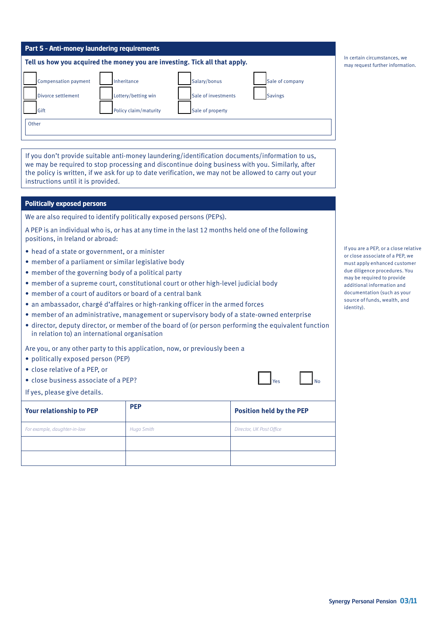| <b>Part 5 - Anti-money laundering requirements</b>                         |                       |                     |                 |  |  |
|----------------------------------------------------------------------------|-----------------------|---------------------|-----------------|--|--|
| Tell us how you acquired the money you are investing. Tick all that apply. |                       |                     |                 |  |  |
| Compensation payment                                                       | Inheritance           | Salary/bonus        | Sale of company |  |  |
| Divorce settlement                                                         | Lottery/betting win   | Sale of investments | <b>Savings</b>  |  |  |
| Gift                                                                       | Policy claim/maturity | Sale of property    |                 |  |  |
| Other                                                                      |                       |                     |                 |  |  |

If you don't provide suitable anti-money laundering/identification documents/information to us, we may be required to stop processing and discontinue doing business with you. Similarly, after the policy is written, if we ask for up to date verification, we may not be allowed to carry out your instructions until it is provided.

#### **Politically exposed persons**

We are also required to identify politically exposed persons (PEPs).

A PEP is an individual who is, or has at any time in the last 12 months held one of the following positions, in Ireland or abroad:

- head of a state or government, or a minister
- member of a parliament or similar legislative body
- member of the governing body of a political party
- member of a supreme court, constitutional court or other high-level judicial body
- member of a court of auditors or board of a central bank
- an ambassador, chargé d'affaires or high-ranking officer in the armed forces
- member of an administrative, management or supervisory body of a state-owned enterprise
- director, deputy director, or member of the board of (or person performing the equivalent function in relation to) an international organisation

Are you, or any other party to this application, now, or previously been a

- politically exposed person (PEP)
- close relative of a PEP, or
- close business associate of a PEP?
- If yes, please give details.

| Your relationship to PEP     | <b>PEP</b>        | <b>Position held by the PEP</b> |
|------------------------------|-------------------|---------------------------------|
| For example, daughter-in-law | <b>Hugo Smith</b> | Director, UK Post Office        |
|                              |                   |                                 |
|                              |                   |                                 |

If you are a PEP, or a close relative or close associate of a PEP, we must apply enhanced customer due diligence procedures. You may be required to provide additional information and documentation (such as your source of funds, wealth, and identity).

Yes <u>I</u>No

In certain circumstances, we may request further information.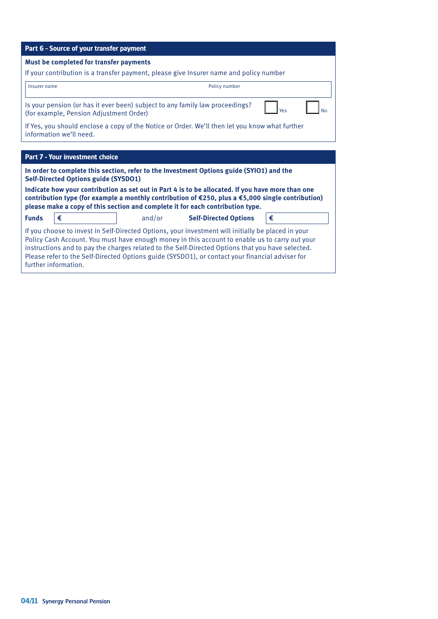| Part 6 - Source of your transfer payment                                                                                                                                                                                                                                                 |  |        |                                                                                                                                                                                                                                                                                                                                                                                                             |     |
|------------------------------------------------------------------------------------------------------------------------------------------------------------------------------------------------------------------------------------------------------------------------------------------|--|--------|-------------------------------------------------------------------------------------------------------------------------------------------------------------------------------------------------------------------------------------------------------------------------------------------------------------------------------------------------------------------------------------------------------------|-----|
| Must be completed for transfer payments                                                                                                                                                                                                                                                  |  |        |                                                                                                                                                                                                                                                                                                                                                                                                             |     |
|                                                                                                                                                                                                                                                                                          |  |        | If your contribution is a transfer payment, please give Insurer name and policy number                                                                                                                                                                                                                                                                                                                      |     |
| Insurer name                                                                                                                                                                                                                                                                             |  |        | Policy number                                                                                                                                                                                                                                                                                                                                                                                               |     |
| (for example, Pension Adjustment Order)                                                                                                                                                                                                                                                  |  |        | Is your pension (or has it ever been) subject to any family law proceedings?                                                                                                                                                                                                                                                                                                                                | Yes |
| If Yes, you should enclose a copy of the Notice or Order. We'll then let you know what further<br>information we'll need.                                                                                                                                                                |  |        |                                                                                                                                                                                                                                                                                                                                                                                                             |     |
|                                                                                                                                                                                                                                                                                          |  |        |                                                                                                                                                                                                                                                                                                                                                                                                             |     |
| Part 7 - Your investment choice                                                                                                                                                                                                                                                          |  |        |                                                                                                                                                                                                                                                                                                                                                                                                             |     |
| <b>Self-Directed Options guide (SYSDO1)</b>                                                                                                                                                                                                                                              |  |        | In order to complete this section, refer to the Investment Options guide (SYIO1) and the                                                                                                                                                                                                                                                                                                                    |     |
| Indicate how your contribution as set out in Part 4 is to be allocated. If you have more than one<br>contribution type (for example a monthly contribution of €250, plus a €5,000 single contribution)<br>please make a copy of this section and complete it for each contribution type. |  |        |                                                                                                                                                                                                                                                                                                                                                                                                             |     |
| €<br><b>Funds</b>                                                                                                                                                                                                                                                                        |  | and/or | <b>Self-Directed Options</b>                                                                                                                                                                                                                                                                                                                                                                                | €   |
| further information.                                                                                                                                                                                                                                                                     |  |        | If you choose to invest in Self-Directed Options, your investment will initially be placed in your<br>Policy Cash Account. You must have enough money in this account to enable us to carry out your<br>instructions and to pay the charges related to the Self-Directed Options that you have selected.<br>Please refer to the Self-Directed Options guide (SYSDO1), or contact your financial adviser for |     |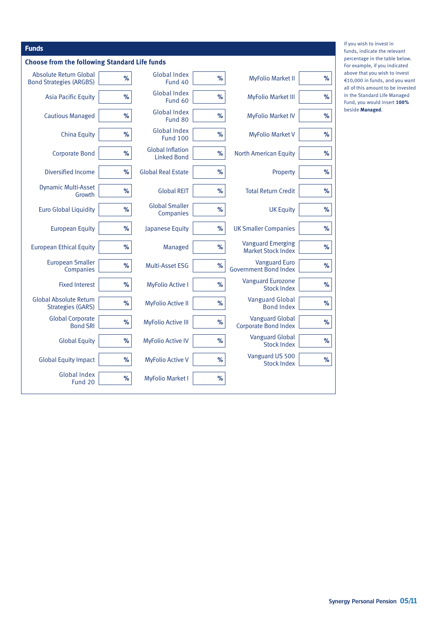| <b>Funds</b>                                              |      |                                               |      |                                                       |      |
|-----------------------------------------------------------|------|-----------------------------------------------|------|-------------------------------------------------------|------|
| <b>Choose from the following Standard Life funds</b>      |      |                                               |      |                                                       |      |
| Absolute Return Global<br><b>Bond Strategies (ARGBS)</b>  | %    | Global Index<br>Fund 40                       | %    | <b>MyFolio Market II</b>                              | $\%$ |
| <b>Asia Pacific Equity</b>                                | %    | Global Index<br>Fund 60                       | %    | <b>MyFolio Market III</b>                             | %    |
| <b>Cautious Managed</b>                                   | %    | <b>Global Index</b><br>Fund 80                | %    | <b>MyFolio Market IV</b>                              | %    |
| <b>China Equity</b>                                       | %    | <b>Global Index</b><br><b>Fund 100</b>        | %    | <b>MyFolio Market V</b>                               | %    |
| <b>Corporate Bond</b>                                     | %    | <b>Global Inflation</b><br><b>Linked Bond</b> | %    | <b>North American Equity</b>                          | %    |
| Diversified Income                                        | %    | <b>Global Real Estate</b>                     | %    | Property                                              | %    |
| <b>Dynamic Multi-Asset</b><br>Growth                      | $\%$ | <b>Global REIT</b>                            | %    | <b>Total Return Credit</b>                            | %    |
| <b>Euro Global Liquidity</b>                              | %    | <b>Global Smaller</b><br>Companies            | %    | <b>UK Equity</b>                                      | %    |
| <b>European Equity</b>                                    | %    | Japanese Equity                               | %    | <b>UK Smaller Companies</b>                           | %    |
| <b>European Ethical Equity</b>                            | %    | Managed                                       | %    | <b>Vanguard Emerging</b><br><b>Market Stock Index</b> | %    |
| <b>European Smaller</b><br>Companies                      | %    | Multi-Asset ESG                               | %    | <b>Vanguard Euro</b><br><b>Government Bond Index</b>  | %    |
| <b>Fixed Interest</b>                                     | %    | <b>MyFolio Active I</b>                       | %    | <b>Vanguard Eurozone</b><br><b>Stock Index</b>        | %    |
| <b>Global Absolute Return</b><br><b>Strategies (GARS)</b> | %    | <b>MyFolio Active II</b>                      | %    | <b>Vanguard Global</b><br><b>Bond Index</b>           | %    |
| <b>Global Corporate</b><br><b>Bond SRI</b>                | %    | <b>MyFolio Active III</b>                     | $\%$ | <b>Vanguard Global</b><br><b>Corporate Bond Index</b> | %    |
| <b>Global Equity</b>                                      | %    | <b>MyFolio Active IV</b>                      | %    | <b>Vanguard Global</b><br><b>Stock Index</b>          | %    |
| <b>Global Equity Impact</b>                               | %    | <b>MyFolio Active V</b>                       | $\%$ | Vanguard US 500<br><b>Stock Index</b>                 | %    |
| <b>Global Index</b><br>Fund 20                            | $\%$ | <b>MyFolio Market I</b>                       | %    |                                                       |      |

If you wish to invest in funds, indicate the relevant percentage in the table below. For example, if you indicated above that you wish to invest €10,000 in funds, and you want all of this amount to be invested in the Standard Life Managed Fund, you would insert **100%** beside **Managed**.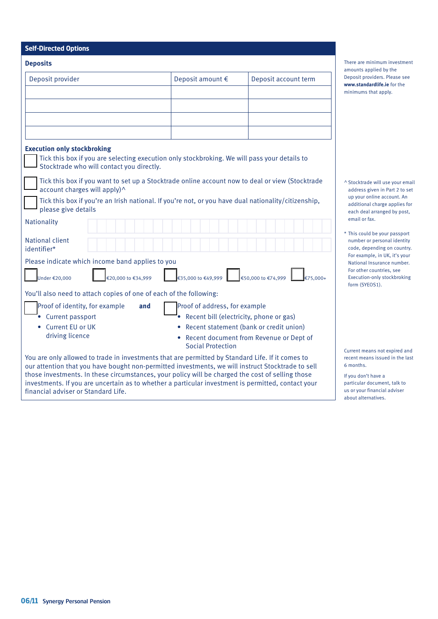| <b>Deposits</b>                                                                                                                                                                                                                                                                                                                                                                                                                                        |                                                                                                       |                                           |
|--------------------------------------------------------------------------------------------------------------------------------------------------------------------------------------------------------------------------------------------------------------------------------------------------------------------------------------------------------------------------------------------------------------------------------------------------------|-------------------------------------------------------------------------------------------------------|-------------------------------------------|
| Deposit provider                                                                                                                                                                                                                                                                                                                                                                                                                                       | Deposit amount €                                                                                      | Deposit account term                      |
|                                                                                                                                                                                                                                                                                                                                                                                                                                                        |                                                                                                       |                                           |
|                                                                                                                                                                                                                                                                                                                                                                                                                                                        |                                                                                                       |                                           |
|                                                                                                                                                                                                                                                                                                                                                                                                                                                        |                                                                                                       |                                           |
|                                                                                                                                                                                                                                                                                                                                                                                                                                                        |                                                                                                       |                                           |
|                                                                                                                                                                                                                                                                                                                                                                                                                                                        |                                                                                                       |                                           |
| <b>Execution only stockbroking</b><br>Tick this box if you are selecting execution only stockbroking. We will pass your details to<br>Stocktrade who will contact you directly.                                                                                                                                                                                                                                                                        |                                                                                                       |                                           |
| Tick this box if you want to set up a Stocktrade online account now to deal or view (Stocktrade<br>account charges will apply)^                                                                                                                                                                                                                                                                                                                        |                                                                                                       |                                           |
| Tick this box if you're an Irish national. If you're not, or you have dual nationality/citizenship,<br>please give details                                                                                                                                                                                                                                                                                                                             |                                                                                                       |                                           |
| Nationality                                                                                                                                                                                                                                                                                                                                                                                                                                            |                                                                                                       |                                           |
| National client<br>identifier*                                                                                                                                                                                                                                                                                                                                                                                                                         |                                                                                                       |                                           |
| Please indicate which income band applies to you                                                                                                                                                                                                                                                                                                                                                                                                       |                                                                                                       |                                           |
| €20,000 to €34,999<br>Under $\epsilon$ 20.000                                                                                                                                                                                                                                                                                                                                                                                                          | $\left  \in 35,000 \text{ to } \in 49,999 \right $ $\left  \in 50,000 \text{ to } \in 74,999 \right $ | €75.000+                                  |
| You'll also need to attach copies of one of each of the following:                                                                                                                                                                                                                                                                                                                                                                                     |                                                                                                       |                                           |
| Proof of identity, for example<br>and                                                                                                                                                                                                                                                                                                                                                                                                                  | Proof of address, for example                                                                         |                                           |
| • Current passport                                                                                                                                                                                                                                                                                                                                                                                                                                     | Recent bill (electricity, phone or gas)                                                               |                                           |
| Current EU or UK                                                                                                                                                                                                                                                                                                                                                                                                                                       |                                                                                                       | Recent statement (bank or credit union)   |
| driving licence                                                                                                                                                                                                                                                                                                                                                                                                                                        | <b>Social Protection</b>                                                                              | • Recent document from Revenue or Dept of |
| You are only allowed to trade in investments that are permitted by Standard Life. If it comes to<br>our attention that you have bought non-permitted investments, we will instruct Stocktrade to sell<br>those investments. In these circumstances, your policy will be charged the cost of selling those<br>investments. If you are uncertain as to whether a particular investment is permitted, contact your<br>financial adviser or Standard Life. |                                                                                                       |                                           |

There are minimum investment amounts applied by the Deposit providers. Please see **www.standardlife.ie** for the minimums that apply.

- ^ Stocktrade will use your email address given in Part 2 to set up your online account. An additional charge applies for each deal arranged by post, email or fax.
- \* This could be your passport number or personal identity code, depending on country. For example, in UK, it's your National Insurance number. For other countries, see Execution-only stockbroking form (SYEOS1).

Current means not expired and recent means issued in the last 6 months.

If you don't have a particular document, talk to us or your financial adviser about alternatives.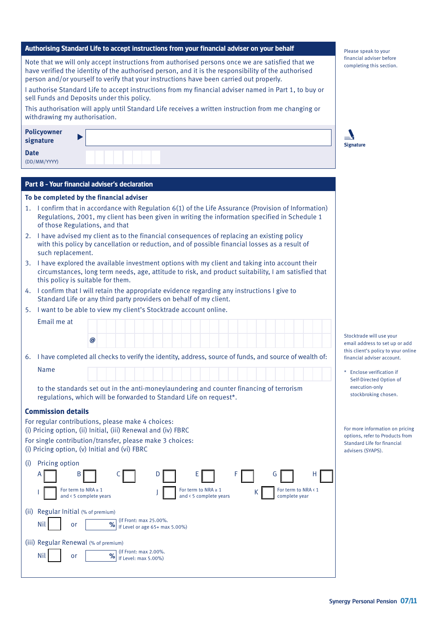| Note that we will only accept instructions from authorised persons once we are satisfied that we<br>have verified the identity of the authorised person, and it is the responsibility of the authorised<br>person and/or yourself to verify that your instructions have been carried out properly. | financial adviser before<br>completing this section.                                |
|----------------------------------------------------------------------------------------------------------------------------------------------------------------------------------------------------------------------------------------------------------------------------------------------------|-------------------------------------------------------------------------------------|
| I authorise Standard Life to accept instructions from my financial adviser named in Part 1, to buy or<br>sell Funds and Deposits under this policy.                                                                                                                                                |                                                                                     |
| This authorisation will apply until Standard Life receives a written instruction from me changing or<br>withdrawing my authorisation.                                                                                                                                                              |                                                                                     |
| <b>Policyowner</b><br>signature                                                                                                                                                                                                                                                                    | <b>Signature</b>                                                                    |
| <b>Date</b><br>(DD/MM/YYYY)                                                                                                                                                                                                                                                                        |                                                                                     |
| Part 8 - Your financial adviser's declaration                                                                                                                                                                                                                                                      |                                                                                     |
| To be completed by the financial adviser                                                                                                                                                                                                                                                           |                                                                                     |
| 1. I confirm that in accordance with Regulation 6(1) of the Life Assurance (Provision of Information)<br>Regulations, 2001, my client has been given in writing the information specified in Schedule 1<br>of those Regulations, and that                                                          |                                                                                     |
| I have advised my client as to the financial consequences of replacing an existing policy<br>2.<br>with this policy by cancellation or reduction, and of possible financial losses as a result of<br>such replacement.                                                                             |                                                                                     |
| I have explored the available investment options with my client and taking into account their<br>3.<br>circumstances, long term needs, age, attitude to risk, and product suitability, I am satisfied that<br>this policy is suitable for them.                                                    |                                                                                     |
| I confirm that I will retain the appropriate evidence regarding any instructions I give to<br>4.<br>Standard Life or any third party providers on behalf of my client.                                                                                                                             |                                                                                     |
| I want to be able to view my client's Stocktrade account online.<br>5.                                                                                                                                                                                                                             |                                                                                     |
| Email me at                                                                                                                                                                                                                                                                                        |                                                                                     |
| @                                                                                                                                                                                                                                                                                                  | Stocktrade will use your<br>email address to set up or add                          |
| I have completed all checks to verify the identity, address, source of funds, and source of wealth of:<br>6.                                                                                                                                                                                       | this client's policy to your online<br>financial adviser account.                   |
| Name                                                                                                                                                                                                                                                                                               | * Enclose verification if<br>Self-Directed Option of                                |
| to the standards set out in the anti-moneylaundering and counter financing of terrorism<br>regulations, which will be forwarded to Standard Life on request*.                                                                                                                                      | execution-only<br>stockbroking chosen.                                              |
| <b>Commission details</b>                                                                                                                                                                                                                                                                          |                                                                                     |
| For regular contributions, please make 4 choices:<br>(i) Pricing option, (ii) Initial, (iii) Renewal and (iv) FBRC                                                                                                                                                                                 | For more information on pricing                                                     |
| For single contribution/transfer, please make 3 choices:<br>(i) Pricing option, (v) Initial and (vi) FBRC                                                                                                                                                                                          | options, refer to Products from<br>Standard Life for financial<br>advisers (SYAPS). |
| Pricing option<br>(i)<br>B<br>н<br>Α<br>G<br>For term to NRA $\geq 1$<br>For term to NRA $\geq 1$<br>For term to NRA < 1<br>and < 5 complete years<br>and < 5 complete years<br>complete year                                                                                                      |                                                                                     |
| Regular Initial (% of premium)<br>(ii)<br>(If Front: max 25.00%.<br>%<br>Nil<br>or                                                                                                                                                                                                                 |                                                                                     |
| If Level or age 65+ max 5.00%)                                                                                                                                                                                                                                                                     |                                                                                     |
| (iii) Regular Renewal (% of premium)<br>(If Front: max 2.00%.<br>$\frac{9}{6}$<br>Nil<br>or<br>If Level: max 5.00%)                                                                                                                                                                                |                                                                                     |
|                                                                                                                                                                                                                                                                                                    |                                                                                     |

**Authorising Standard Life to accept instructions from your financial adviser on your behalf**

Please speak to your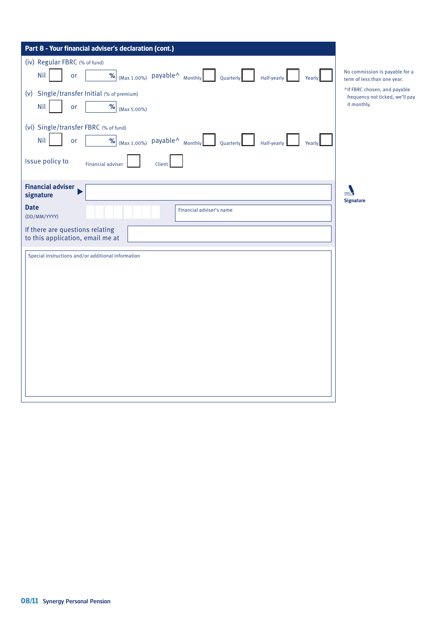| Part 8 - Your financial adviser's declaration (cont.)                                                                                     |                                                                 |
|-------------------------------------------------------------------------------------------------------------------------------------------|-----------------------------------------------------------------|
| (iv) Regular FBRC (% of fund)                                                                                                             |                                                                 |
| $\frac{96}{2}$ (Max 1.00%) payable <sup><math>\land</math></sup> Monthly<br><b>Nil</b><br><b>or</b><br>Quarterly<br>Yearly<br>Half-yearly | No commission is payable for a<br>term of less than one year.   |
| (v) Single/transfer Initial (% of premium)                                                                                                | ^If FBRC chosen, and payable<br>frequency not ticked, we'll pay |
| <b>Nil</b><br>$\underline{\mathcal{N}}$ (Max 5.00%)<br>or                                                                                 | it monthly.                                                     |
| (vi) Single/transfer FBRC (% of fund)                                                                                                     |                                                                 |
| % $\omega$ <sub>(Max 1.00%)</sub> payable^ <sub>Monthly</sub><br><b>Nil</b><br>or<br>Quarterly<br>Half-yearly<br>Yearly                   |                                                                 |
| Issue policy to<br><b>Financial adviser</b><br>Client                                                                                     |                                                                 |
| <b>Financial adviser</b><br>signature                                                                                                     |                                                                 |
| <b>Date</b><br>Financial adviser's name<br>(DD/MM/YYYY)                                                                                   | <b>Signature</b>                                                |
| If there are questions relating<br>to this application, email me at                                                                       |                                                                 |
| Special instructions and/or additional information                                                                                        |                                                                 |
|                                                                                                                                           |                                                                 |
|                                                                                                                                           |                                                                 |
|                                                                                                                                           |                                                                 |
|                                                                                                                                           |                                                                 |
|                                                                                                                                           |                                                                 |
|                                                                                                                                           |                                                                 |
|                                                                                                                                           |                                                                 |
|                                                                                                                                           |                                                                 |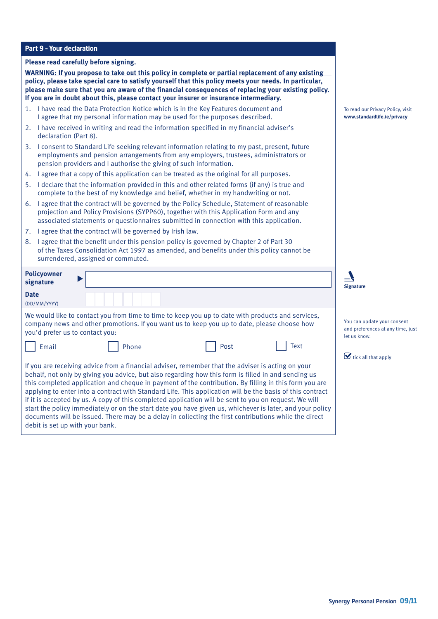#### **Part 9 – Your declaration**

#### **Please read carefully before signing.**

**WARNING: If you propose to take out this policy in complete or partial replacement of any existing policy, please take special care to satisfy yourself that this policy meets your needs. In particular, please make sure that you are aware of the financial consequences of replacing your existing policy. If you are in doubt about this, please contact your insurer or insurance intermediary.**

- 1. I have read the Data Protection Notice which is in the Key Features document and I agree that my personal information may be used for the purposes described.
- 2. I have received in writing and read the information specified in my financial adviser's declaration (Part 8).
- 3. I consent to Standard Life seeking relevant information relating to my past, present, future employments and pension arrangements from any employers, trustees, administrators or pension providers and I authorise the giving of such information.
- 4. I agree that a copy of this application can be treated as the original for all purposes.
- 5. I declare that the information provided in this and other related forms (if any) is true and complete to the best of my knowledge and belief, whether in my handwriting or not.
- 6. I agree that the contract will be governed by the Policy Schedule, Statement of reasonable projection and Policy Provisions (SYPP60), together with this Application Form and any associated statements or questionnaires submitted in connection with this application.
- 7. I agree that the contract will be governed by Irish law.
- 8. I agree that the benefit under this pension policy is governed by Chapter 2 of Part 30 of the Taxes Consolidation Act 1997 as amended, and benefits under this policy cannot be surrendered, assigned or commuted.

| <b>Policyowner</b><br>signature |       |                                                                                                                                                                                                                                                                                                                                                                                                                                                                                                                                                                                                                                                                                                                                                              |      | <b>Signature</b>                               |
|---------------------------------|-------|--------------------------------------------------------------------------------------------------------------------------------------------------------------------------------------------------------------------------------------------------------------------------------------------------------------------------------------------------------------------------------------------------------------------------------------------------------------------------------------------------------------------------------------------------------------------------------------------------------------------------------------------------------------------------------------------------------------------------------------------------------------|------|------------------------------------------------|
| <b>Date</b><br>(DD/MM/YYYY)     |       |                                                                                                                                                                                                                                                                                                                                                                                                                                                                                                                                                                                                                                                                                                                                                              |      |                                                |
| you'd prefer us to contact you: |       | We would like to contact you from time to time to keep you up to date with products and services,<br>company news and other promotions. If you want us to keep you up to date, please choose how                                                                                                                                                                                                                                                                                                                                                                                                                                                                                                                                                             |      | You can updat<br>and preferenc<br>let us know. |
| Email                           | Phone | Post                                                                                                                                                                                                                                                                                                                                                                                                                                                                                                                                                                                                                                                                                                                                                         | Text | $\triangleright$ tick all tha                  |
| debit is set up with your bank. |       | If you are receiving advice from a financial adviser, remember that the adviser is acting on your<br>behalf, not only by giving you advice, but also regarding how this form is filled in and sending us<br>this completed application and cheque in payment of the contribution. By filling in this form you are<br>applying to enter into a contract with Standard Life. This application will be the basis of this contract<br>if it is accepted by us. A copy of this completed application will be sent to you on request. We will<br>start the policy immediately or on the start date you have given us, whichever is later, and your policy<br>documents will be issued. There may be a delay in collecting the first contributions while the direct |      |                                                |

To read our Privacy Policy, visit **www.standardlife.ie/privacy** 

te vour consent les at any time, just

at apply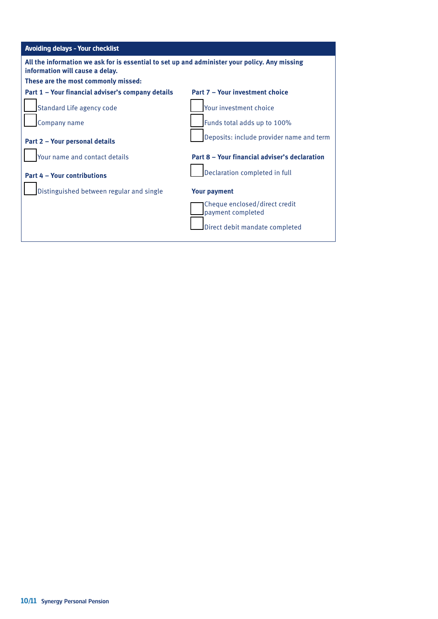| <b>Avoiding delays - Your checklist</b>                                                                                          |                                                    |  |  |
|----------------------------------------------------------------------------------------------------------------------------------|----------------------------------------------------|--|--|
| All the information we ask for is essential to set up and administer your policy. Any missing<br>information will cause a delay. |                                                    |  |  |
| These are the most commonly missed:                                                                                              |                                                    |  |  |
| Part 1 – Your financial adviser's company details                                                                                | Part 7 - Your investment choice                    |  |  |
| Standard Life agency code                                                                                                        | Your investment choice                             |  |  |
| Company name                                                                                                                     | Funds total adds up to 100%                        |  |  |
| Part 2 - Your personal details                                                                                                   | Deposits: include provider name and term           |  |  |
| Your name and contact details                                                                                                    | Part 8 – Your financial adviser's declaration      |  |  |
| <b>Part 4 - Your contributions</b>                                                                                               | Declaration completed in full                      |  |  |
| Distinguished between regular and single                                                                                         | <b>Your payment</b>                                |  |  |
|                                                                                                                                  | Cheque enclosed/direct credit<br>payment completed |  |  |
|                                                                                                                                  | Direct debit mandate completed                     |  |  |
|                                                                                                                                  |                                                    |  |  |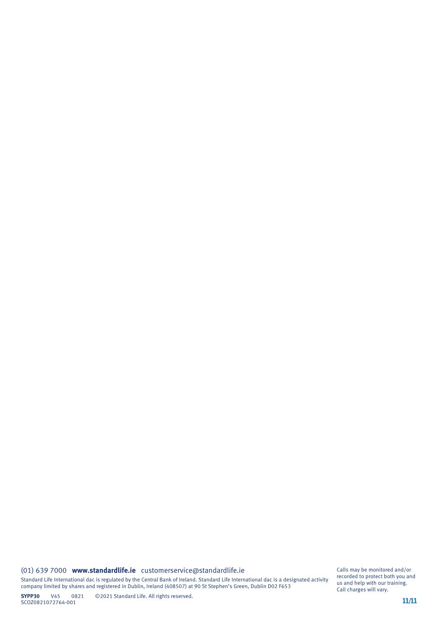#### (01) 639 7000 **www.standardlife.ie** customerservice@standardlife.ie

Standard Life International dac is regulated by the Central Bank of Ireland. Standard Life International dac is a designated activity company limited by shares and registered in Dublin, Ireland (408507) at 90 St Stephen's Green, Dublin D02 F653

Calls may be monitored and/or recorded to protect both you and us and help with our training. Call charges will vary.